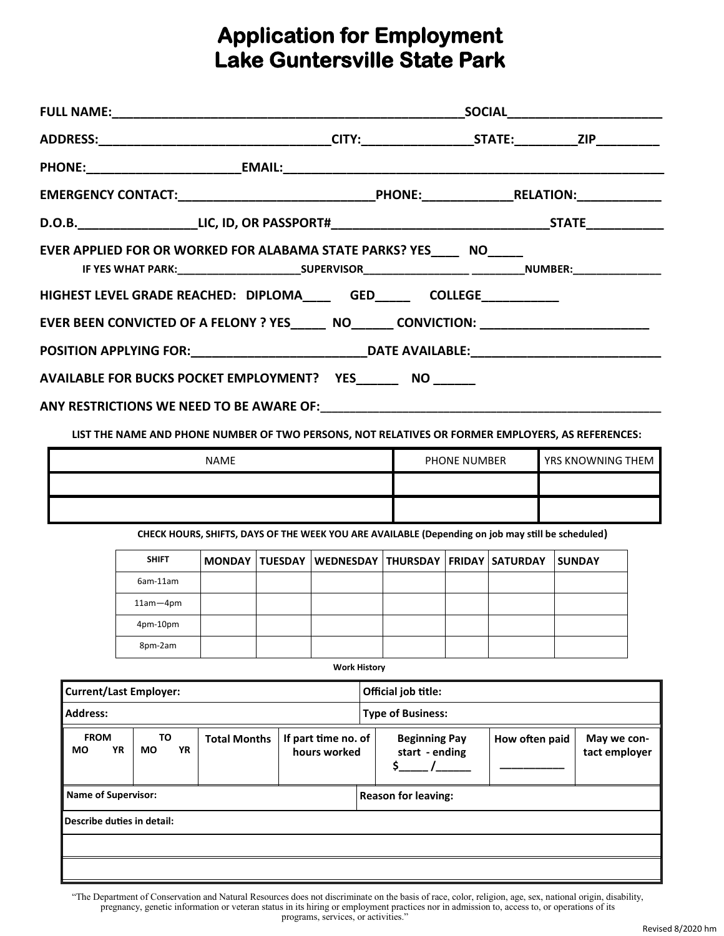## **Application for Employment Lake Guntersville State Park**

| ADDRESS:__________________________________CITY:__________________STATE:___________ZIP______________                                                                          |  |  |
|------------------------------------------------------------------------------------------------------------------------------------------------------------------------------|--|--|
|                                                                                                                                                                              |  |  |
|                                                                                                                                                                              |  |  |
|                                                                                                                                                                              |  |  |
| EVER APPLIED FOR OR WORKED FOR ALABAMA STATE PARKS? YES NO<br>IF YES WHAT PARK:___________________________SUPERVISOR__________________________________NUMBER:_______________ |  |  |
| HIGHEST LEVEL GRADE REACHED: DIPLOMA_______ GED_______ COLLEGE____________                                                                                                   |  |  |
| EVER BEEN CONVICTED OF A FELONY ? YES________ NO________ CONVICTION: _______________________________                                                                         |  |  |
|                                                                                                                                                                              |  |  |
| AVAILABLE FOR BUCKS POCKET EMPLOYMENT? YES NO NO                                                                                                                             |  |  |
|                                                                                                                                                                              |  |  |

**LIST THE NAME AND PHONE NUMBER OF TWO PERSONS, NOT RELATIVES OR FORMER EMPLOYERS, AS REFERENCES:** 

| <b>NAME</b> | <b>PHONE NUMBER</b> | <b>YRS KNOWNING THEM</b> |
|-------------|---------------------|--------------------------|
|             |                     |                          |
|             |                     |                          |

 **CHECK HOURS, SHIFTS, DAYS OF THE WEEK YOU ARE AVAILABLE (Depending on job may still be scheduled)**

| <b>SHIFT</b> |  | MONDAY TUESDAY WEDNESDAY THURSDAY FRIDAY SATURDAY |  | <b>SUNDAY</b> |
|--------------|--|---------------------------------------------------|--|---------------|
| 6am-11am     |  |                                                   |  |               |
| $11am - 4pm$ |  |                                                   |  |               |
| 4pm-10pm     |  |                                                   |  |               |
| 8pm-2am      |  |                                                   |  |               |

**Work History**

| <b>Current/Last Employer:</b>                                                                           |                            |                            |  |  |  | Official job title:        |                                        |                |                              |  |
|---------------------------------------------------------------------------------------------------------|----------------------------|----------------------------|--|--|--|----------------------------|----------------------------------------|----------------|------------------------------|--|
| Address:                                                                                                |                            |                            |  |  |  | <b>Type of Business:</b>   |                                        |                |                              |  |
| <b>FROM</b><br>TO<br>If part time no. of<br><b>Total Months</b><br>YR<br>YR<br>MO<br>МO<br>hours worked |                            |                            |  |  |  |                            | <b>Beginning Pay</b><br>start - ending | How often paid | May we con-<br>tact employer |  |
|                                                                                                         | <b>Name of Supervisor:</b> |                            |  |  |  | <b>Reason for leaving:</b> |                                        |                |                              |  |
|                                                                                                         |                            | Describe duties in detail: |  |  |  |                            |                                        |                |                              |  |
|                                                                                                         |                            |                            |  |  |  |                            |                                        |                |                              |  |
|                                                                                                         |                            |                            |  |  |  |                            |                                        |                |                              |  |

"The Department of Conservation and Natural Resources does not discriminate on the basis of race, color, religion, age, sex, national origin, disability, pregnancy, genetic information or veteran status in its hiring or employment practices nor in admission to, access to, or operations of its programs, services, or activities."